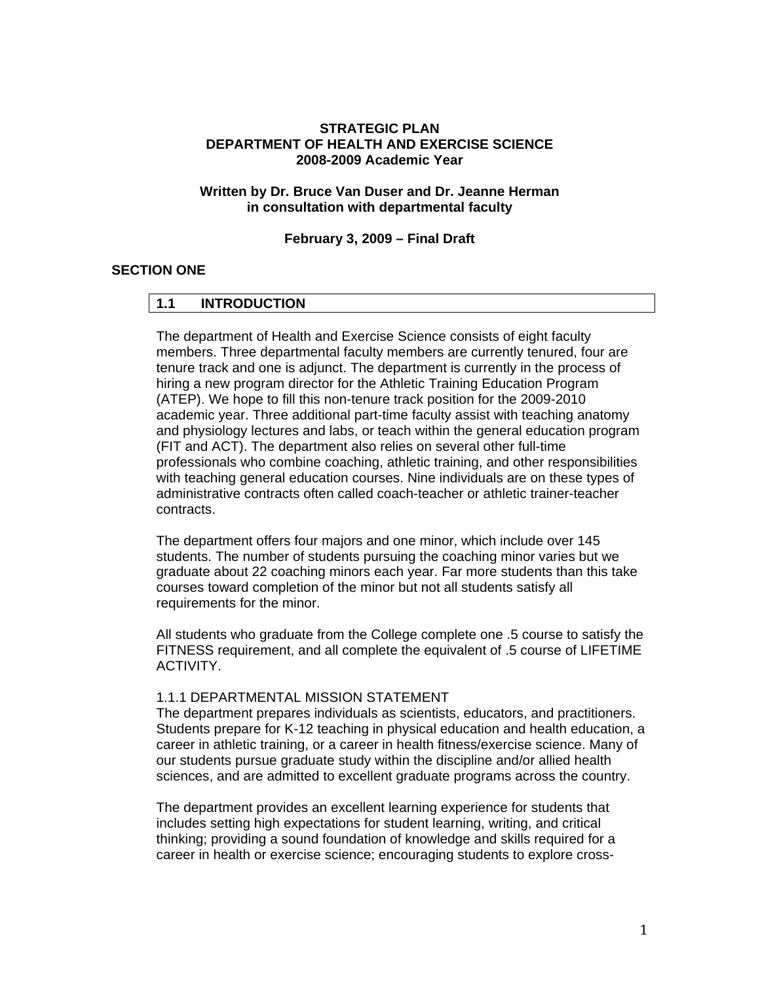#### **STRATEGIC PLAN DEPARTMENT OF HEALTH AND EXERCISE SCIENCE 2008-2009 Academic Year**

#### **Written by Dr. Bruce Van Duser and Dr. Jeanne Herman in consultation with departmental faculty**

**February 3, 2009 – Final Draft** 

#### **SECTION ONE**

#### **1.1 INTRODUCTION**

The department of Health and Exercise Science consists of eight faculty members. Three departmental faculty members are currently tenured, four are tenure track and one is adjunct. The department is currently in the process of hiring a new program director for the Athletic Training Education Program (ATEP). We hope to fill this non-tenure track position for the 2009-2010 academic year. Three additional part-time faculty assist with teaching anatomy and physiology lectures and labs, or teach within the general education program (FIT and ACT). The department also relies on several other full-time professionals who combine coaching, athletic training, and other responsibilities with teaching general education courses. Nine individuals are on these types of administrative contracts often called coach-teacher or athletic trainer-teacher contracts.

The department offers four majors and one minor, which include over 145 students. The number of students pursuing the coaching minor varies but we graduate about 22 coaching minors each year. Far more students than this take courses toward completion of the minor but not all students satisfy all requirements for the minor.

All students who graduate from the College complete one .5 course to satisfy the FITNESS requirement, and all complete the equivalent of .5 course of LIFETIME ACTIVITY.

#### 1.1.1 DEPARTMENTAL MISSION STATEMENT

The department prepares individuals as scientists, educators, and practitioners. Students prepare for K-12 teaching in physical education and health education, a career in athletic training, or a career in health fitness/exercise science. Many of our students pursue graduate study within the discipline and/or allied health sciences, and are admitted to excellent graduate programs across the country.

The department provides an excellent learning experience for students that includes setting high expectations for student learning, writing, and critical thinking; providing a sound foundation of knowledge and skills required for a career in health or exercise science; encouraging students to explore cross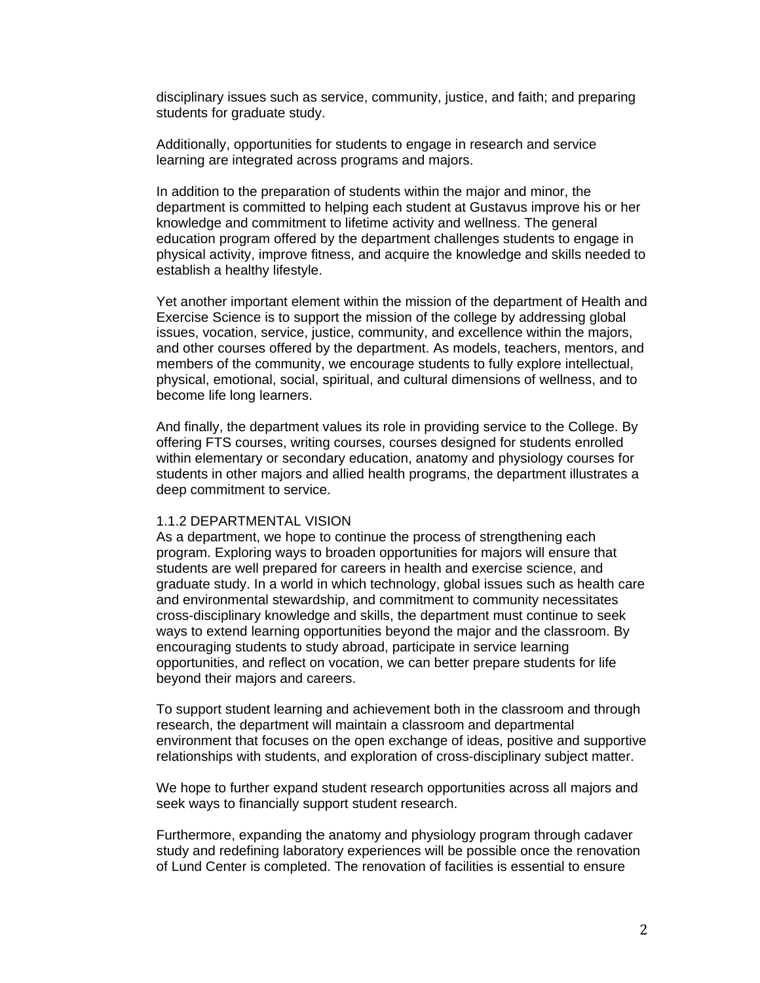disciplinary issues such as service, community, justice, and faith; and preparing students for graduate study.

Additionally, opportunities for students to engage in research and service learning are integrated across programs and majors.

In addition to the preparation of students within the major and minor, the department is committed to helping each student at Gustavus improve his or her knowledge and commitment to lifetime activity and wellness. The general education program offered by the department challenges students to engage in physical activity, improve fitness, and acquire the knowledge and skills needed to establish a healthy lifestyle.

Yet another important element within the mission of the department of Health and Exercise Science is to support the mission of the college by addressing global issues, vocation, service, justice, community, and excellence within the majors, and other courses offered by the department. As models, teachers, mentors, and members of the community, we encourage students to fully explore intellectual, physical, emotional, social, spiritual, and cultural dimensions of wellness, and to become life long learners.

And finally, the department values its role in providing service to the College. By offering FTS courses, writing courses, courses designed for students enrolled within elementary or secondary education, anatomy and physiology courses for students in other majors and allied health programs, the department illustrates a deep commitment to service.

#### 1.1.2 DEPARTMENTAL VISION

As a department, we hope to continue the process of strengthening each program. Exploring ways to broaden opportunities for majors will ensure that students are well prepared for careers in health and exercise science, and graduate study. In a world in which technology, global issues such as health care and environmental stewardship, and commitment to community necessitates cross-disciplinary knowledge and skills, the department must continue to seek ways to extend learning opportunities beyond the major and the classroom. By encouraging students to study abroad, participate in service learning opportunities, and reflect on vocation, we can better prepare students for life beyond their majors and careers.

To support student learning and achievement both in the classroom and through research, the department will maintain a classroom and departmental environment that focuses on the open exchange of ideas, positive and supportive relationships with students, and exploration of cross-disciplinary subject matter.

We hope to further expand student research opportunities across all majors and seek ways to financially support student research.

Furthermore, expanding the anatomy and physiology program through cadaver study and redefining laboratory experiences will be possible once the renovation of Lund Center is completed. The renovation of facilities is essential to ensure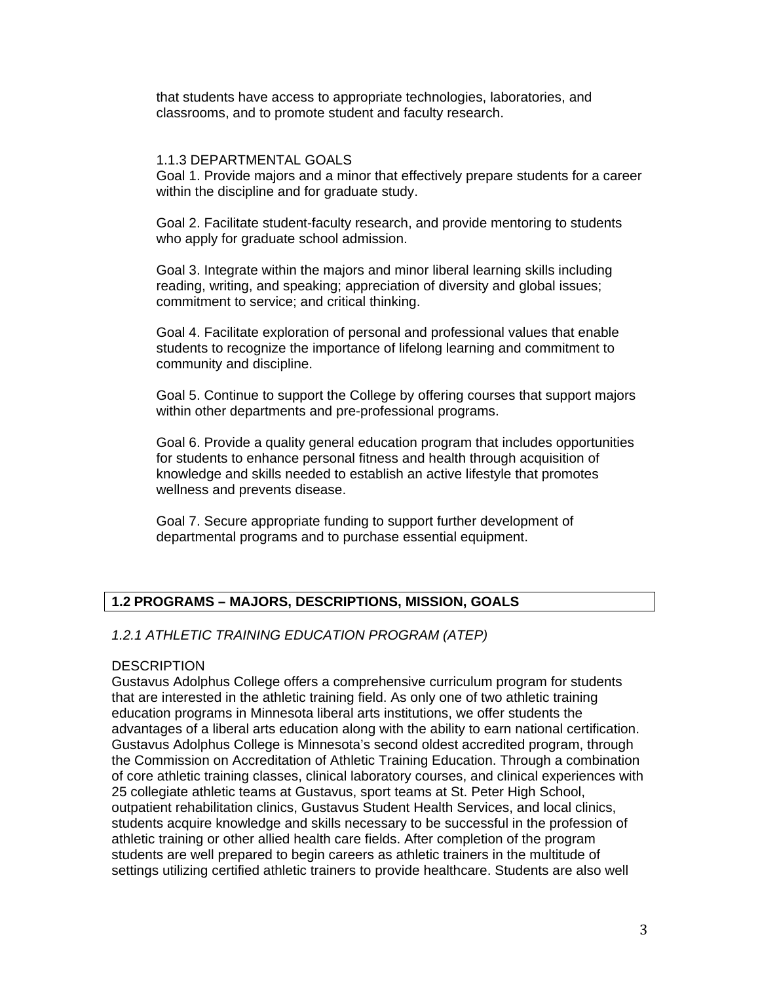that students have access to appropriate technologies, laboratories, and classrooms, and to promote student and faculty research.

#### 1.1.3 DEPARTMENTAL GOALS

Goal 1. Provide majors and a minor that effectively prepare students for a career within the discipline and for graduate study.

Goal 2. Facilitate student-faculty research, and provide mentoring to students who apply for graduate school admission.

Goal 3. Integrate within the majors and minor liberal learning skills including reading, writing, and speaking; appreciation of diversity and global issues; commitment to service; and critical thinking.

Goal 4. Facilitate exploration of personal and professional values that enable students to recognize the importance of lifelong learning and commitment to community and discipline.

Goal 5. Continue to support the College by offering courses that support majors within other departments and pre-professional programs.

Goal 6. Provide a quality general education program that includes opportunities for students to enhance personal fitness and health through acquisition of knowledge and skills needed to establish an active lifestyle that promotes wellness and prevents disease.

Goal 7. Secure appropriate funding to support further development of departmental programs and to purchase essential equipment.

## **1.2 PROGRAMS – MAJORS, DESCRIPTIONS, MISSION, GOALS**

## *1.2.1 ATHLETIC TRAINING EDUCATION PROGRAM (ATEP)*

#### **DESCRIPTION**

Gustavus Adolphus College offers a comprehensive curriculum program for students that are interested in the athletic training field. As only one of two athletic training education programs in Minnesota liberal arts institutions, we offer students the advantages of a liberal arts education along with the ability to earn national certification. Gustavus Adolphus College is Minnesota's second oldest accredited program, through the Commission on Accreditation of Athletic Training Education. Through a combination of core athletic training classes, clinical laboratory courses, and clinical experiences with 25 collegiate athletic teams at Gustavus, sport teams at St. Peter High School, outpatient rehabilitation clinics, Gustavus Student Health Services, and local clinics, students acquire knowledge and skills necessary to be successful in the profession of athletic training or other allied health care fields. After completion of the program students are well prepared to begin careers as athletic trainers in the multitude of settings utilizing certified athletic trainers to provide healthcare. Students are also well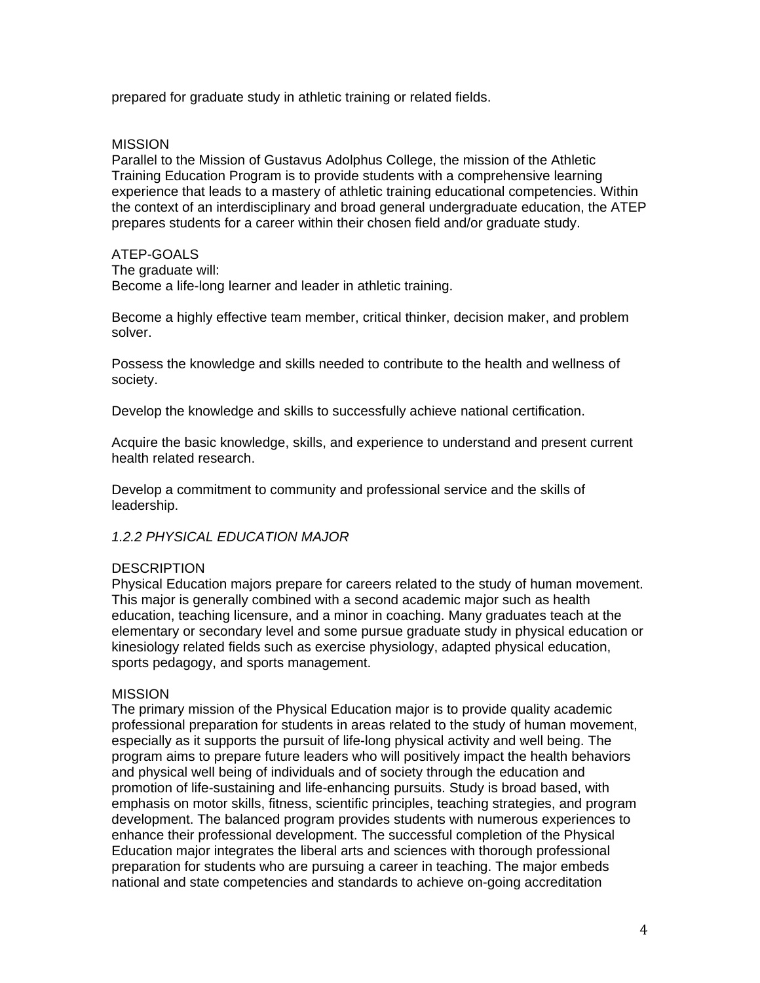prepared for graduate study in athletic training or related fields.

#### **MISSION**

Parallel to the Mission of Gustavus Adolphus College, the mission of the Athletic Training Education Program is to provide students with a comprehensive learning experience that leads to a mastery of athletic training educational competencies. Within the context of an interdisciplinary and broad general undergraduate education, the ATEP prepares students for a career within their chosen field and/or graduate study.

#### ATEP-GOALS

The graduate will:

Become a life-long learner and leader in athletic training.

Become a highly effective team member, critical thinker, decision maker, and problem solver.

Possess the knowledge and skills needed to contribute to the health and wellness of society.

Develop the knowledge and skills to successfully achieve national certification.

Acquire the basic knowledge, skills, and experience to understand and present current health related research.

Develop a commitment to community and professional service and the skills of leadership.

## *1.2.2 PHYSICAL EDUCATION MAJOR*

#### **DESCRIPTION**

Physical Education majors prepare for careers related to the study of human movement. This major is generally combined with a second academic major such as health education, teaching licensure, and a minor in coaching. Many graduates teach at the elementary or secondary level and some pursue graduate study in physical education or kinesiology related fields such as exercise physiology, adapted physical education, sports pedagogy, and sports management.

#### **MISSION**

The primary mission of the Physical Education major is to provide quality academic professional preparation for students in areas related to the study of human movement, especially as it supports the pursuit of life-long physical activity and well being. The program aims to prepare future leaders who will positively impact the health behaviors and physical well being of individuals and of society through the education and promotion of life-sustaining and life-enhancing pursuits. Study is broad based, with emphasis on motor skills, fitness, scientific principles, teaching strategies, and program development. The balanced program provides students with numerous experiences to enhance their professional development. The successful completion of the Physical Education major integrates the liberal arts and sciences with thorough professional preparation for students who are pursuing a career in teaching. The major embeds national and state competencies and standards to achieve on-going accreditation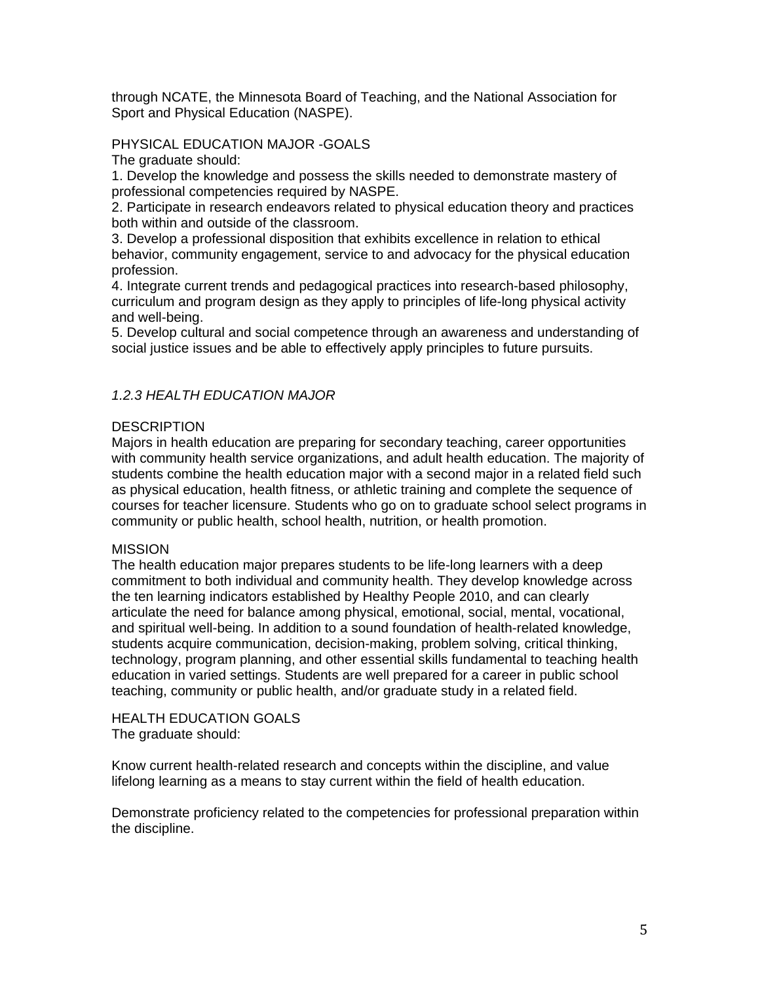through NCATE, the Minnesota Board of Teaching, and the National Association for Sport and Physical Education (NASPE).

### PHYSICAL EDUCATION MAJOR -GOALS

The graduate should:

1. Develop the knowledge and possess the skills needed to demonstrate mastery of professional competencies required by NASPE.

2. Participate in research endeavors related to physical education theory and practices both within and outside of the classroom.

3. Develop a professional disposition that exhibits excellence in relation to ethical behavior, community engagement, service to and advocacy for the physical education profession.

4. Integrate current trends and pedagogical practices into research-based philosophy, curriculum and program design as they apply to principles of life-long physical activity and well-being.

5. Develop cultural and social competence through an awareness and understanding of social justice issues and be able to effectively apply principles to future pursuits.

#### *1.2.3 HEALTH EDUCATION MAJOR*

#### **DESCRIPTION**

Majors in health education are preparing for secondary teaching, career opportunities with community health service organizations, and adult health education. The majority of students combine the health education major with a second major in a related field such as physical education, health fitness, or athletic training and complete the sequence of courses for teacher licensure. Students who go on to graduate school select programs in community or public health, school health, nutrition, or health promotion.

#### **MISSION**

The health education major prepares students to be life-long learners with a deep commitment to both individual and community health. They develop knowledge across the ten learning indicators established by Healthy People 2010, and can clearly articulate the need for balance among physical, emotional, social, mental, vocational, and spiritual well-being. In addition to a sound foundation of health-related knowledge, students acquire communication, decision-making, problem solving, critical thinking, technology, program planning, and other essential skills fundamental to teaching health education in varied settings. Students are well prepared for a career in public school teaching, community or public health, and/or graduate study in a related field.

HEALTH EDUCATION GOALS The graduate should:

Know current health-related research and concepts within the discipline, and value lifelong learning as a means to stay current within the field of health education.

Demonstrate proficiency related to the competencies for professional preparation within the discipline.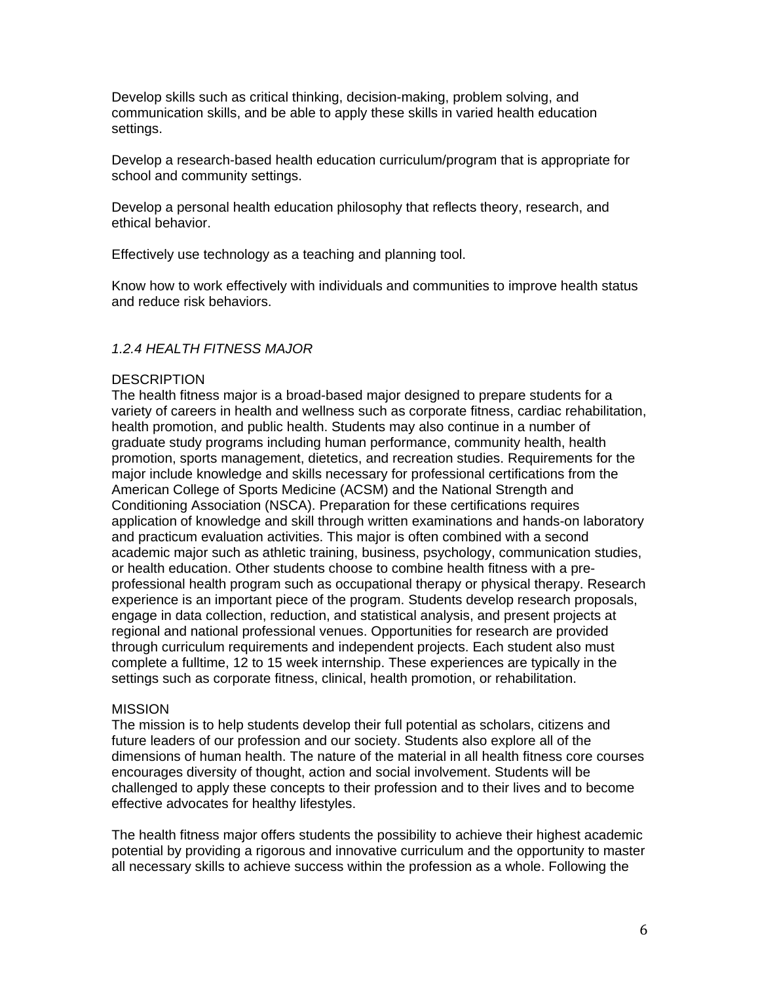Develop skills such as critical thinking, decision-making, problem solving, and communication skills, and be able to apply these skills in varied health education settings.

Develop a research-based health education curriculum/program that is appropriate for school and community settings.

Develop a personal health education philosophy that reflects theory, research, and ethical behavior.

Effectively use technology as a teaching and planning tool.

Know how to work effectively with individuals and communities to improve health status and reduce risk behaviors.

## *1.2.4 HEALTH FITNESS MAJOR*

#### **DESCRIPTION**

The health fitness major is a broad-based major designed to prepare students for a variety of careers in health and wellness such as corporate fitness, cardiac rehabilitation, health promotion, and public health. Students may also continue in a number of graduate study programs including human performance, community health, health promotion, sports management, dietetics, and recreation studies. Requirements for the major include knowledge and skills necessary for professional certifications from the American College of Sports Medicine (ACSM) and the National Strength and Conditioning Association (NSCA). Preparation for these certifications requires application of knowledge and skill through written examinations and hands-on laboratory and practicum evaluation activities. This major is often combined with a second academic major such as athletic training, business, psychology, communication studies, or health education. Other students choose to combine health fitness with a preprofessional health program such as occupational therapy or physical therapy. Research experience is an important piece of the program. Students develop research proposals, engage in data collection, reduction, and statistical analysis, and present projects at regional and national professional venues. Opportunities for research are provided through curriculum requirements and independent projects. Each student also must complete a fulltime, 12 to 15 week internship. These experiences are typically in the settings such as corporate fitness, clinical, health promotion, or rehabilitation.

#### **MISSION**

The mission is to help students develop their full potential as scholars, citizens and future leaders of our profession and our society. Students also explore all of the dimensions of human health. The nature of the material in all health fitness core courses encourages diversity of thought, action and social involvement. Students will be challenged to apply these concepts to their profession and to their lives and to become effective advocates for healthy lifestyles.

The health fitness major offers students the possibility to achieve their highest academic potential by providing a rigorous and innovative curriculum and the opportunity to master all necessary skills to achieve success within the profession as a whole. Following the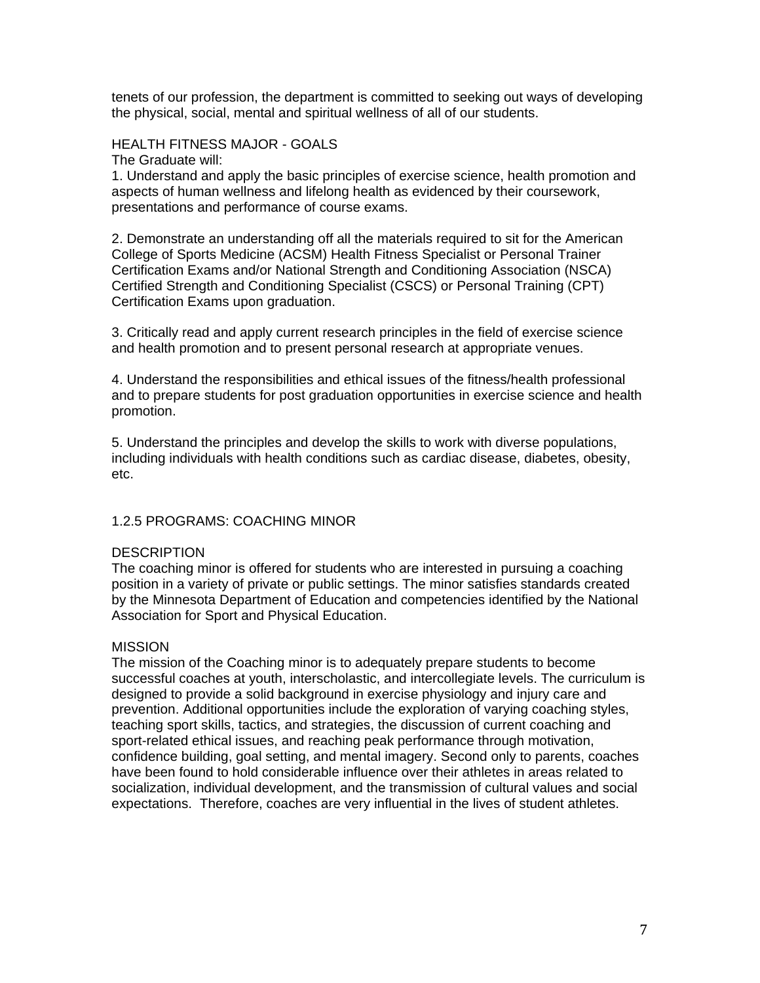tenets of our profession, the department is committed to seeking out ways of developing the physical, social, mental and spiritual wellness of all of our students.

#### HEALTH FITNESS MAJOR - GOALS

The Graduate will:

1. Understand and apply the basic principles of exercise science, health promotion and aspects of human wellness and lifelong health as evidenced by their coursework, presentations and performance of course exams.

2. Demonstrate an understanding off all the materials required to sit for the American College of Sports Medicine (ACSM) Health Fitness Specialist or Personal Trainer Certification Exams and/or National Strength and Conditioning Association (NSCA) Certified Strength and Conditioning Specialist (CSCS) or Personal Training (CPT) Certification Exams upon graduation.

3. Critically read and apply current research principles in the field of exercise science and health promotion and to present personal research at appropriate venues.

4. Understand the responsibilities and ethical issues of the fitness/health professional and to prepare students for post graduation opportunities in exercise science and health promotion.

5. Understand the principles and develop the skills to work with diverse populations, including individuals with health conditions such as cardiac disease, diabetes, obesity, etc.

#### 1.2.5 PROGRAMS: COACHING MINOR

#### **DESCRIPTION**

The coaching minor is offered for students who are interested in pursuing a coaching position in a variety of private or public settings. The minor satisfies standards created by the Minnesota Department of Education and competencies identified by the National Association for Sport and Physical Education.

#### **MISSION**

The mission of the Coaching minor is to adequately prepare students to become successful coaches at youth, interscholastic, and intercollegiate levels. The curriculum is designed to provide a solid background in exercise physiology and injury care and prevention. Additional opportunities include the exploration of varying coaching styles, teaching sport skills, tactics, and strategies, the discussion of current coaching and sport-related ethical issues, and reaching peak performance through motivation, confidence building, goal setting, and mental imagery. Second only to parents, coaches have been found to hold considerable influence over their athletes in areas related to socialization, individual development, and the transmission of cultural values and social expectations. Therefore, coaches are very influential in the lives of student athletes.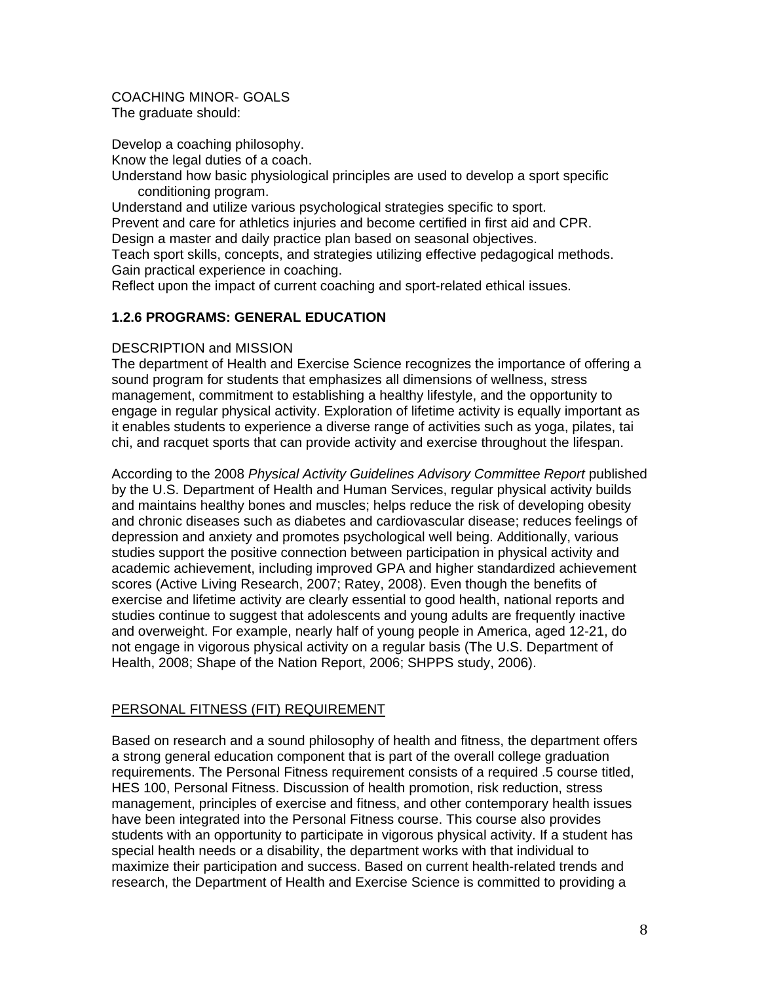COACHING MINOR- GOALS The graduate should:

Develop a coaching philosophy.

Know the legal duties of a coach.

Understand how basic physiological principles are used to develop a sport specific conditioning program.

Understand and utilize various psychological strategies specific to sport. Prevent and care for athletics injuries and become certified in first aid and CPR. Design a master and daily practice plan based on seasonal objectives.

Teach sport skills, concepts, and strategies utilizing effective pedagogical methods. Gain practical experience in coaching.

Reflect upon the impact of current coaching and sport-related ethical issues.

## **1.2.6 PROGRAMS: GENERAL EDUCATION**

## DESCRIPTION and MISSION

The department of Health and Exercise Science recognizes the importance of offering a sound program for students that emphasizes all dimensions of wellness, stress management, commitment to establishing a healthy lifestyle, and the opportunity to engage in regular physical activity. Exploration of lifetime activity is equally important as it enables students to experience a diverse range of activities such as yoga, pilates, tai chi, and racquet sports that can provide activity and exercise throughout the lifespan.

According to the 2008 *Physical Activity Guidelines Advisory Committee Report* published by the U.S. Department of Health and Human Services, regular physical activity builds and maintains healthy bones and muscles; helps reduce the risk of developing obesity and chronic diseases such as diabetes and cardiovascular disease; reduces feelings of depression and anxiety and promotes psychological well being. Additionally, various studies support the positive connection between participation in physical activity and academic achievement, including improved GPA and higher standardized achievement scores (Active Living Research, 2007; Ratey, 2008). Even though the benefits of exercise and lifetime activity are clearly essential to good health, national reports and studies continue to suggest that adolescents and young adults are frequently inactive and overweight. For example, nearly half of young people in America, aged 12-21, do not engage in vigorous physical activity on a regular basis (The U.S. Department of Health, 2008; Shape of the Nation Report, 2006; SHPPS study, 2006).

## PERSONAL FITNESS (FIT) REQUIREMENT

Based on research and a sound philosophy of health and fitness, the department offers a strong general education component that is part of the overall college graduation requirements. The Personal Fitness requirement consists of a required .5 course titled, HES 100, Personal Fitness. Discussion of health promotion, risk reduction, stress management, principles of exercise and fitness, and other contemporary health issues have been integrated into the Personal Fitness course. This course also provides students with an opportunity to participate in vigorous physical activity. If a student has special health needs or a disability, the department works with that individual to maximize their participation and success. Based on current health-related trends and research, the Department of Health and Exercise Science is committed to providing a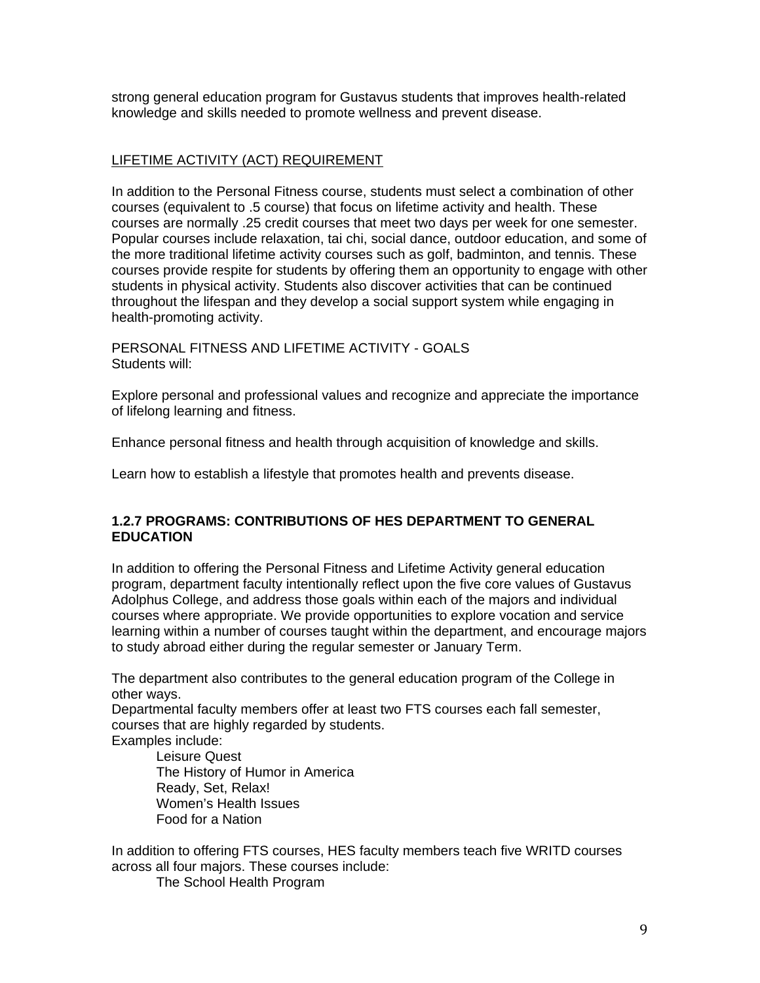strong general education program for Gustavus students that improves health-related knowledge and skills needed to promote wellness and prevent disease.

## LIFETIME ACTIVITY (ACT) REQUIREMENT

In addition to the Personal Fitness course, students must select a combination of other courses (equivalent to .5 course) that focus on lifetime activity and health. These courses are normally .25 credit courses that meet two days per week for one semester. Popular courses include relaxation, tai chi, social dance, outdoor education, and some of the more traditional lifetime activity courses such as golf, badminton, and tennis. These courses provide respite for students by offering them an opportunity to engage with other students in physical activity. Students also discover activities that can be continued throughout the lifespan and they develop a social support system while engaging in health-promoting activity.

PERSONAL FITNESS AND LIFETIME ACTIVITY - GOALS Students will:

Explore personal and professional values and recognize and appreciate the importance of lifelong learning and fitness.

Enhance personal fitness and health through acquisition of knowledge and skills.

Learn how to establish a lifestyle that promotes health and prevents disease.

## **1.2.7 PROGRAMS: CONTRIBUTIONS OF HES DEPARTMENT TO GENERAL EDUCATION**

In addition to offering the Personal Fitness and Lifetime Activity general education program, department faculty intentionally reflect upon the five core values of Gustavus Adolphus College, and address those goals within each of the majors and individual courses where appropriate. We provide opportunities to explore vocation and service learning within a number of courses taught within the department, and encourage majors to study abroad either during the regular semester or January Term.

The department also contributes to the general education program of the College in other ways.

Departmental faculty members offer at least two FTS courses each fall semester, courses that are highly regarded by students. Examples include:

 Leisure Quest The History of Humor in America Ready, Set, Relax! Women's Health Issues Food for a Nation

In addition to offering FTS courses, HES faculty members teach five WRITD courses across all four majors. These courses include:

The School Health Program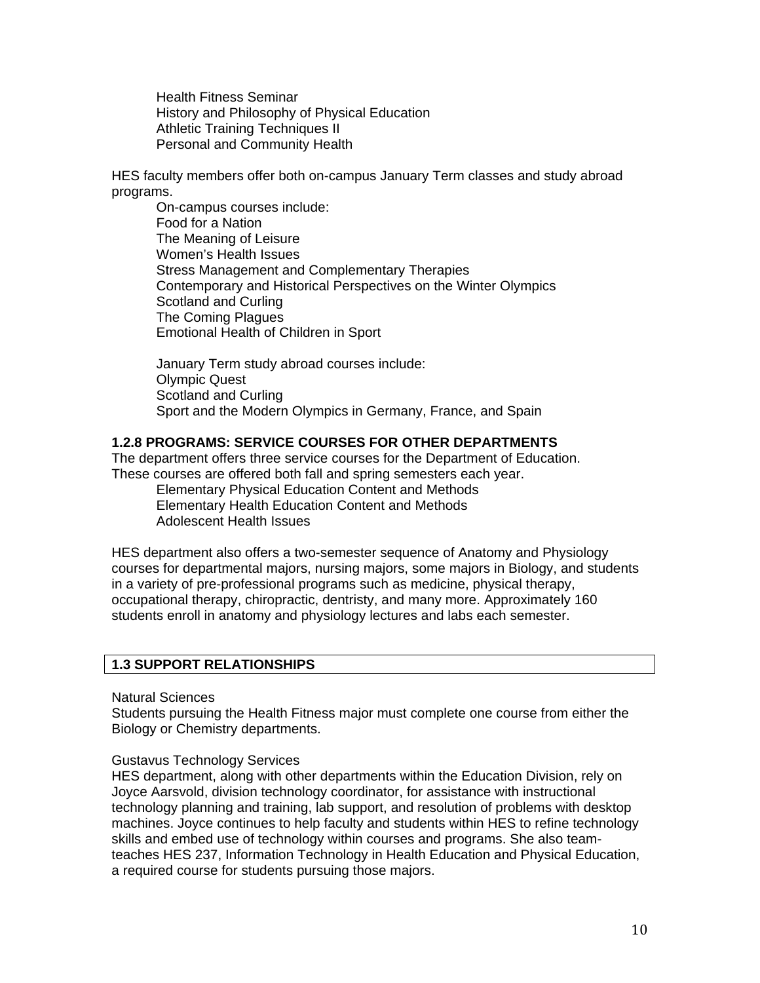Health Fitness Seminar History and Philosophy of Physical Education Athletic Training Techniques II Personal and Community Health

HES faculty members offer both on-campus January Term classes and study abroad programs.

 On-campus courses include: Food for a Nation The Meaning of Leisure Women's Health Issues Stress Management and Complementary Therapies Contemporary and Historical Perspectives on the Winter Olympics Scotland and Curling The Coming Plagues Emotional Health of Children in Sport

 January Term study abroad courses include: Olympic Quest Scotland and Curling Sport and the Modern Olympics in Germany, France, and Spain

#### **1.2.8 PROGRAMS: SERVICE COURSES FOR OTHER DEPARTMENTS**

The department offers three service courses for the Department of Education. These courses are offered both fall and spring semesters each year.

 Elementary Physical Education Content and Methods Elementary Health Education Content and Methods Adolescent Health Issues

HES department also offers a two-semester sequence of Anatomy and Physiology courses for departmental majors, nursing majors, some majors in Biology, and students in a variety of pre-professional programs such as medicine, physical therapy, occupational therapy, chiropractic, dentristy, and many more. Approximately 160 students enroll in anatomy and physiology lectures and labs each semester.

## **1.3 SUPPORT RELATIONSHIPS**

Natural Sciences

Students pursuing the Health Fitness major must complete one course from either the Biology or Chemistry departments.

#### Gustavus Technology Services

HES department, along with other departments within the Education Division, rely on Joyce Aarsvold, division technology coordinator, for assistance with instructional technology planning and training, lab support, and resolution of problems with desktop machines. Joyce continues to help faculty and students within HES to refine technology skills and embed use of technology within courses and programs. She also teamteaches HES 237, Information Technology in Health Education and Physical Education, a required course for students pursuing those majors.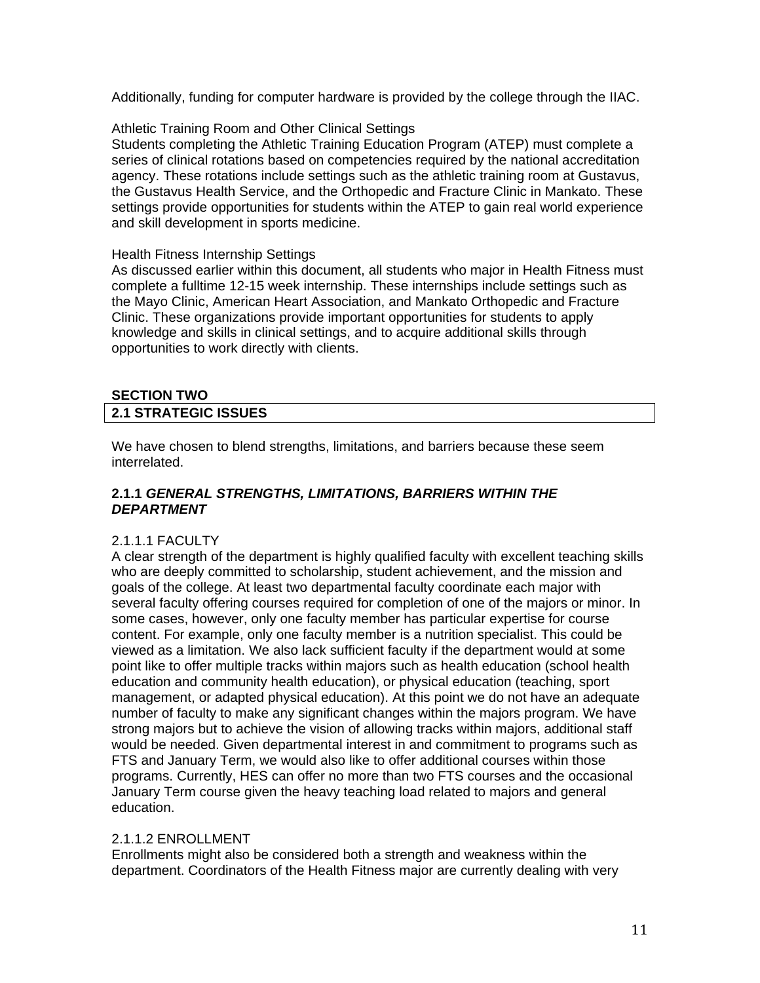Additionally, funding for computer hardware is provided by the college through the IIAC.

### Athletic Training Room and Other Clinical Settings

Students completing the Athletic Training Education Program (ATEP) must complete a series of clinical rotations based on competencies required by the national accreditation agency. These rotations include settings such as the athletic training room at Gustavus, the Gustavus Health Service, and the Orthopedic and Fracture Clinic in Mankato. These settings provide opportunities for students within the ATEP to gain real world experience and skill development in sports medicine.

#### Health Fitness Internship Settings

As discussed earlier within this document, all students who major in Health Fitness must complete a fulltime 12-15 week internship. These internships include settings such as the Mayo Clinic, American Heart Association, and Mankato Orthopedic and Fracture Clinic. These organizations provide important opportunities for students to apply knowledge and skills in clinical settings, and to acquire additional skills through opportunities to work directly with clients.

# **SECTION TWO**

## **2.1 STRATEGIC ISSUES**

We have chosen to blend strengths, limitations, and barriers because these seem interrelated.

## **2.1.1** *GENERAL STRENGTHS, LIMITATIONS, BARRIERS WITHIN THE DEPARTMENT*

#### 2.1.1.1 FACULTY

A clear strength of the department is highly qualified faculty with excellent teaching skills who are deeply committed to scholarship, student achievement, and the mission and goals of the college. At least two departmental faculty coordinate each major with several faculty offering courses required for completion of one of the majors or minor. In some cases, however, only one faculty member has particular expertise for course content. For example, only one faculty member is a nutrition specialist. This could be viewed as a limitation. We also lack sufficient faculty if the department would at some point like to offer multiple tracks within majors such as health education (school health education and community health education), or physical education (teaching, sport management, or adapted physical education). At this point we do not have an adequate number of faculty to make any significant changes within the majors program. We have strong majors but to achieve the vision of allowing tracks within majors, additional staff would be needed. Given departmental interest in and commitment to programs such as FTS and January Term, we would also like to offer additional courses within those programs. Currently, HES can offer no more than two FTS courses and the occasional January Term course given the heavy teaching load related to majors and general education.

#### 2.1.1.2 ENROLLMENT

Enrollments might also be considered both a strength and weakness within the department. Coordinators of the Health Fitness major are currently dealing with very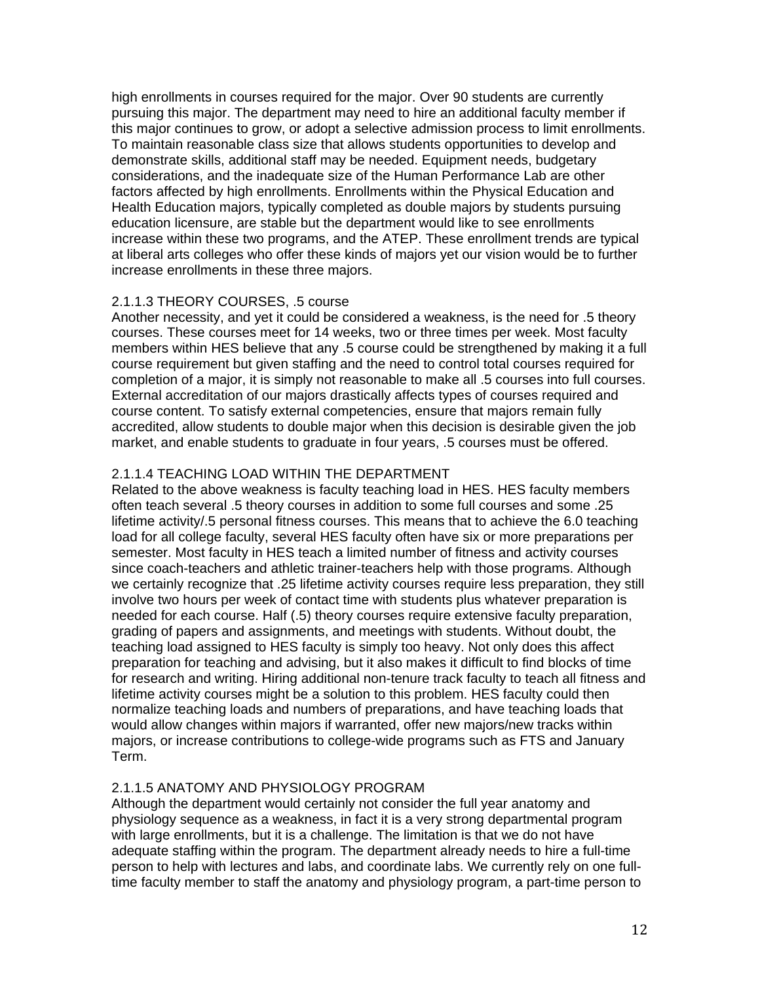high enrollments in courses required for the major. Over 90 students are currently pursuing this major. The department may need to hire an additional faculty member if this major continues to grow, or adopt a selective admission process to limit enrollments. To maintain reasonable class size that allows students opportunities to develop and demonstrate skills, additional staff may be needed. Equipment needs, budgetary considerations, and the inadequate size of the Human Performance Lab are other factors affected by high enrollments. Enrollments within the Physical Education and Health Education majors, typically completed as double majors by students pursuing education licensure, are stable but the department would like to see enrollments increase within these two programs, and the ATEP. These enrollment trends are typical at liberal arts colleges who offer these kinds of majors yet our vision would be to further increase enrollments in these three majors.

## 2.1.1.3 THEORY COURSES, .5 course

Another necessity, and yet it could be considered a weakness, is the need for .5 theory courses. These courses meet for 14 weeks, two or three times per week. Most faculty members within HES believe that any .5 course could be strengthened by making it a full course requirement but given staffing and the need to control total courses required for completion of a major, it is simply not reasonable to make all .5 courses into full courses. External accreditation of our majors drastically affects types of courses required and course content. To satisfy external competencies, ensure that majors remain fully accredited, allow students to double major when this decision is desirable given the job market, and enable students to graduate in four years, .5 courses must be offered.

## 2.1.1.4 TEACHING LOAD WITHIN THE DEPARTMENT

Related to the above weakness is faculty teaching load in HES. HES faculty members often teach several .5 theory courses in addition to some full courses and some .25 lifetime activity/.5 personal fitness courses. This means that to achieve the 6.0 teaching load for all college faculty, several HES faculty often have six or more preparations per semester. Most faculty in HES teach a limited number of fitness and activity courses since coach-teachers and athletic trainer-teachers help with those programs. Although we certainly recognize that .25 lifetime activity courses require less preparation, they still involve two hours per week of contact time with students plus whatever preparation is needed for each course. Half (.5) theory courses require extensive faculty preparation, grading of papers and assignments, and meetings with students. Without doubt, the teaching load assigned to HES faculty is simply too heavy. Not only does this affect preparation for teaching and advising, but it also makes it difficult to find blocks of time for research and writing. Hiring additional non-tenure track faculty to teach all fitness and lifetime activity courses might be a solution to this problem. HES faculty could then normalize teaching loads and numbers of preparations, and have teaching loads that would allow changes within majors if warranted, offer new majors/new tracks within majors, or increase contributions to college-wide programs such as FTS and January Term.

## 2.1.1.5 ANATOMY AND PHYSIOLOGY PROGRAM

Although the department would certainly not consider the full year anatomy and physiology sequence as a weakness, in fact it is a very strong departmental program with large enrollments, but it is a challenge. The limitation is that we do not have adequate staffing within the program. The department already needs to hire a full-time person to help with lectures and labs, and coordinate labs. We currently rely on one fulltime faculty member to staff the anatomy and physiology program, a part-time person to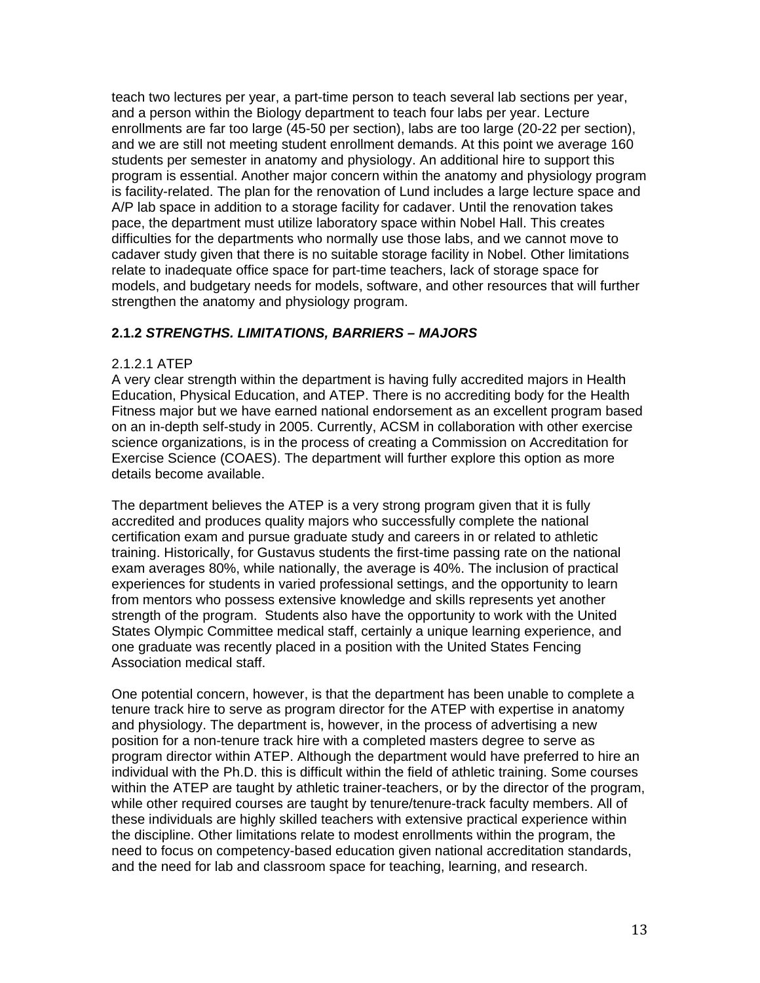teach two lectures per year, a part-time person to teach several lab sections per year, and a person within the Biology department to teach four labs per year. Lecture enrollments are far too large (45-50 per section), labs are too large (20-22 per section), and we are still not meeting student enrollment demands. At this point we average 160 students per semester in anatomy and physiology. An additional hire to support this program is essential. Another major concern within the anatomy and physiology program is facility-related. The plan for the renovation of Lund includes a large lecture space and A/P lab space in addition to a storage facility for cadaver. Until the renovation takes pace, the department must utilize laboratory space within Nobel Hall. This creates difficulties for the departments who normally use those labs, and we cannot move to cadaver study given that there is no suitable storage facility in Nobel. Other limitations relate to inadequate office space for part-time teachers, lack of storage space for models, and budgetary needs for models, software, and other resources that will further strengthen the anatomy and physiology program.

## **2.1.2** *STRENGTHS. LIMITATIONS, BARRIERS – MAJORS*

#### 2.1.2.1 ATEP

A very clear strength within the department is having fully accredited majors in Health Education, Physical Education, and ATEP. There is no accrediting body for the Health Fitness major but we have earned national endorsement as an excellent program based on an in-depth self-study in 2005. Currently, ACSM in collaboration with other exercise science organizations, is in the process of creating a Commission on Accreditation for Exercise Science (COAES). The department will further explore this option as more details become available.

The department believes the ATEP is a very strong program given that it is fully accredited and produces quality majors who successfully complete the national certification exam and pursue graduate study and careers in or related to athletic training. Historically, for Gustavus students the first-time passing rate on the national exam averages 80%, while nationally, the average is 40%. The inclusion of practical experiences for students in varied professional settings, and the opportunity to learn from mentors who possess extensive knowledge and skills represents yet another strength of the program. Students also have the opportunity to work with the United States Olympic Committee medical staff, certainly a unique learning experience, and one graduate was recently placed in a position with the United States Fencing Association medical staff.

One potential concern, however, is that the department has been unable to complete a tenure track hire to serve as program director for the ATEP with expertise in anatomy and physiology. The department is, however, in the process of advertising a new position for a non-tenure track hire with a completed masters degree to serve as program director within ATEP. Although the department would have preferred to hire an individual with the Ph.D. this is difficult within the field of athletic training. Some courses within the ATEP are taught by athletic trainer-teachers, or by the director of the program, while other required courses are taught by tenure/tenure-track faculty members. All of these individuals are highly skilled teachers with extensive practical experience within the discipline. Other limitations relate to modest enrollments within the program, the need to focus on competency-based education given national accreditation standards, and the need for lab and classroom space for teaching, learning, and research.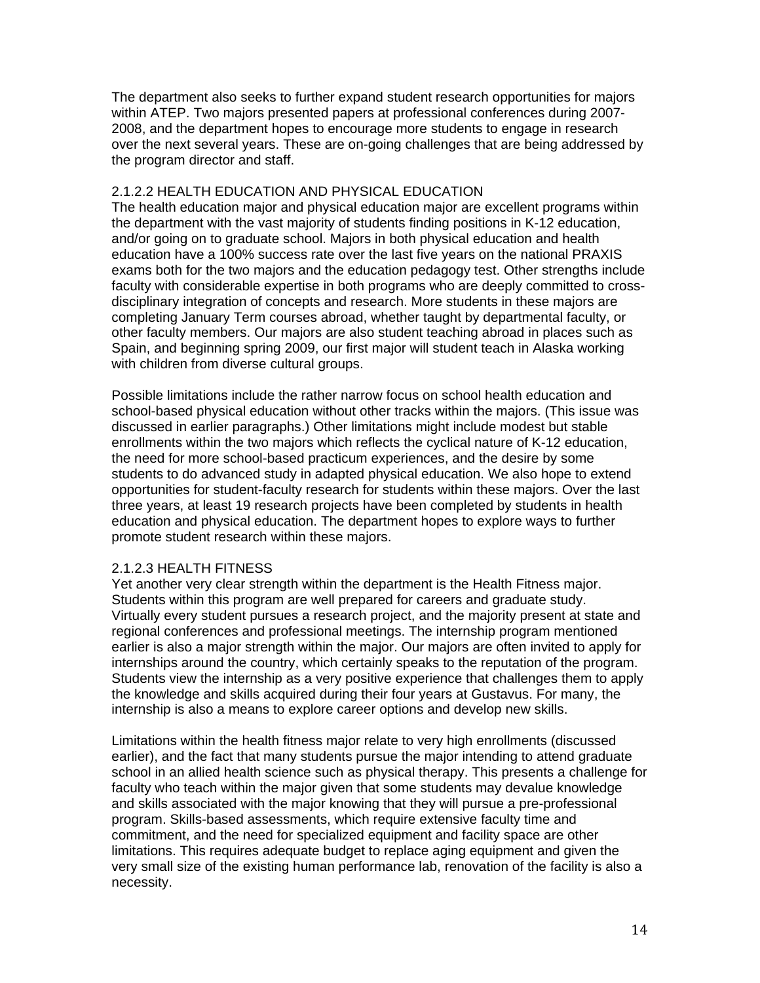The department also seeks to further expand student research opportunities for majors within ATEP. Two majors presented papers at professional conferences during 2007- 2008, and the department hopes to encourage more students to engage in research over the next several years. These are on-going challenges that are being addressed by the program director and staff.

#### 2.1.2.2 HEALTH EDUCATION AND PHYSICAL EDUCATION

The health education major and physical education major are excellent programs within the department with the vast majority of students finding positions in K-12 education, and/or going on to graduate school. Majors in both physical education and health education have a 100% success rate over the last five years on the national PRAXIS exams both for the two majors and the education pedagogy test. Other strengths include faculty with considerable expertise in both programs who are deeply committed to crossdisciplinary integration of concepts and research. More students in these majors are completing January Term courses abroad, whether taught by departmental faculty, or other faculty members. Our majors are also student teaching abroad in places such as Spain, and beginning spring 2009, our first major will student teach in Alaska working with children from diverse cultural groups.

Possible limitations include the rather narrow focus on school health education and school-based physical education without other tracks within the majors. (This issue was discussed in earlier paragraphs.) Other limitations might include modest but stable enrollments within the two majors which reflects the cyclical nature of K-12 education, the need for more school-based practicum experiences, and the desire by some students to do advanced study in adapted physical education. We also hope to extend opportunities for student-faculty research for students within these majors. Over the last three years, at least 19 research projects have been completed by students in health education and physical education. The department hopes to explore ways to further promote student research within these majors.

## 2.1.2.3 HEALTH FITNESS

Yet another very clear strength within the department is the Health Fitness major. Students within this program are well prepared for careers and graduate study. Virtually every student pursues a research project, and the majority present at state and regional conferences and professional meetings. The internship program mentioned earlier is also a major strength within the major. Our majors are often invited to apply for internships around the country, which certainly speaks to the reputation of the program. Students view the internship as a very positive experience that challenges them to apply the knowledge and skills acquired during their four years at Gustavus. For many, the internship is also a means to explore career options and develop new skills.

Limitations within the health fitness major relate to very high enrollments (discussed earlier), and the fact that many students pursue the major intending to attend graduate school in an allied health science such as physical therapy. This presents a challenge for faculty who teach within the major given that some students may devalue knowledge and skills associated with the major knowing that they will pursue a pre-professional program. Skills-based assessments, which require extensive faculty time and commitment, and the need for specialized equipment and facility space are other limitations. This requires adequate budget to replace aging equipment and given the very small size of the existing human performance lab, renovation of the facility is also a necessity.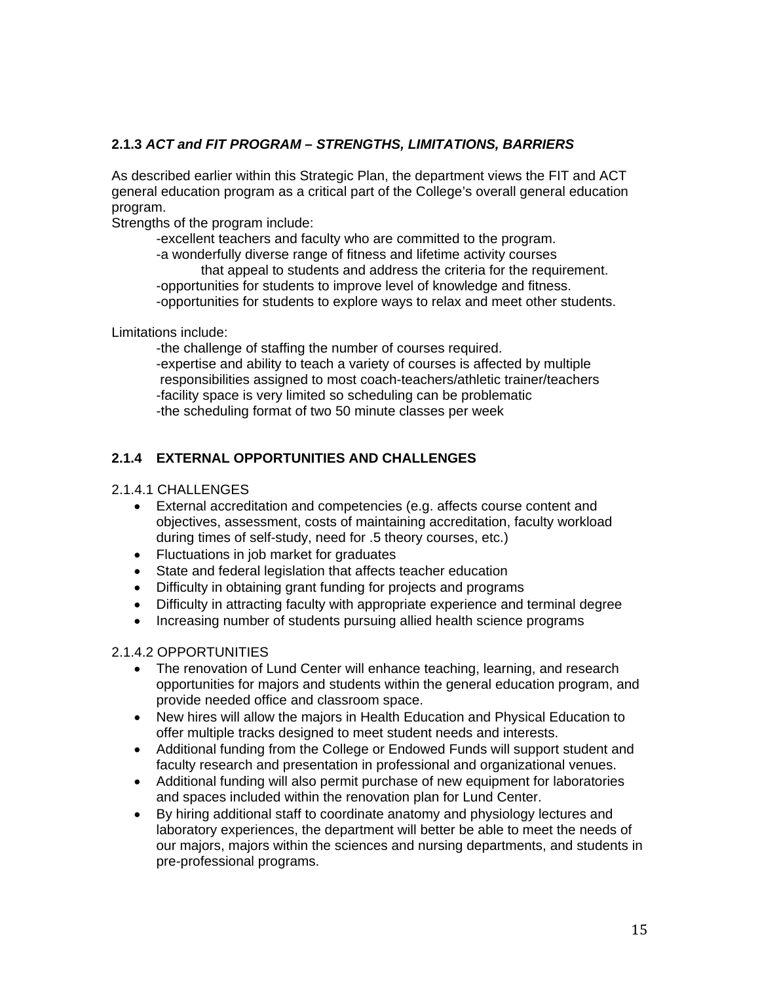## **2.1.3** *ACT and FIT PROGRAM – STRENGTHS, LIMITATIONS, BARRIERS*

As described earlier within this Strategic Plan, the department views the FIT and ACT general education program as a critical part of the College's overall general education program.

Strengths of the program include:

 -excellent teachers and faculty who are committed to the program. -a wonderfully diverse range of fitness and lifetime activity courses that appeal to students and address the criteria for the requirement. -opportunities for students to improve level of knowledge and fitness. -opportunities for students to explore ways to relax and meet other students.

Limitations include:

 -the challenge of staffing the number of courses required. -expertise and ability to teach a variety of courses is affected by multiple responsibilities assigned to most coach-teachers/athletic trainer/teachers -facility space is very limited so scheduling can be problematic -the scheduling format of two 50 minute classes per week

## **2.1.4 EXTERNAL OPPORTUNITIES AND CHALLENGES**

## 2.1.4.1 CHALLENGES

- External accreditation and competencies (e.g. affects course content and objectives, assessment, costs of maintaining accreditation, faculty workload during times of self-study, need for .5 theory courses, etc.)
- Fluctuations in job market for graduates
- State and federal legislation that affects teacher education
- Difficulty in obtaining grant funding for projects and programs
- Difficulty in attracting faculty with appropriate experience and terminal degree
- Increasing number of students pursuing allied health science programs

## 2.1.4.2 OPPORTUNITIES

- The renovation of Lund Center will enhance teaching, learning, and research opportunities for majors and students within the general education program, and provide needed office and classroom space.
- New hires will allow the majors in Health Education and Physical Education to offer multiple tracks designed to meet student needs and interests.
- Additional funding from the College or Endowed Funds will support student and faculty research and presentation in professional and organizational venues.
- Additional funding will also permit purchase of new equipment for laboratories and spaces included within the renovation plan for Lund Center.
- By hiring additional staff to coordinate anatomy and physiology lectures and laboratory experiences, the department will better be able to meet the needs of our majors, majors within the sciences and nursing departments, and students in pre-professional programs.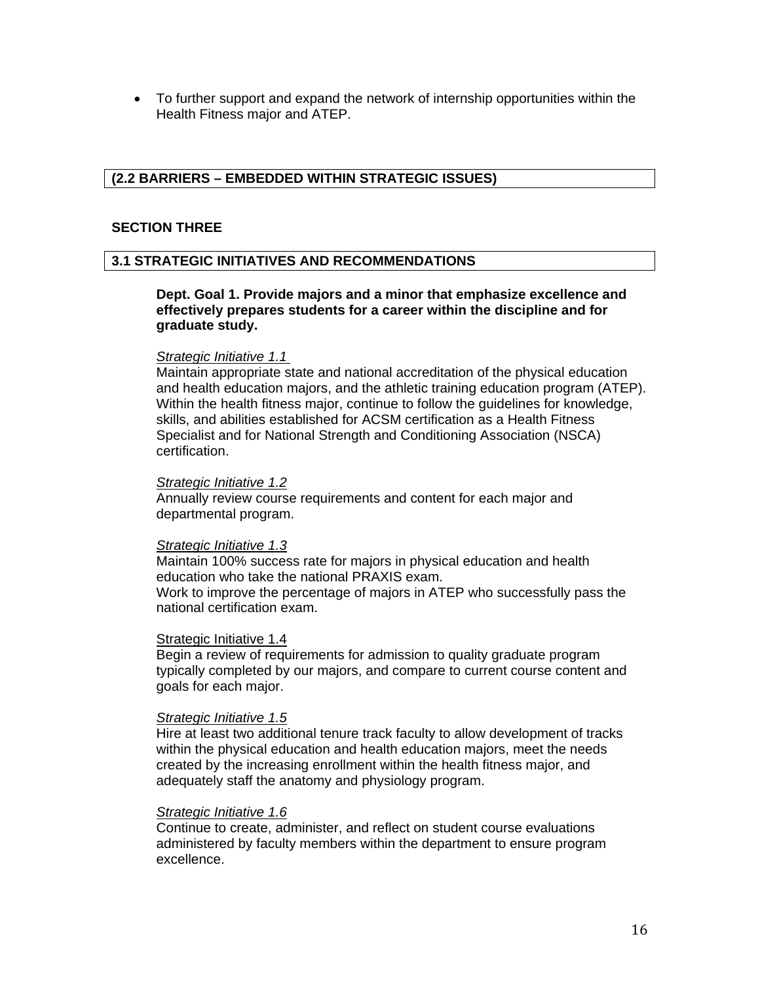To further support and expand the network of internship opportunities within the Health Fitness major and ATEP.

### **(2.2 BARRIERS – EMBEDDED WITHIN STRATEGIC ISSUES)**

#### **SECTION THREE**

#### **3.1 STRATEGIC INITIATIVES AND RECOMMENDATIONS**

#### **Dept. Goal 1. Provide majors and a minor that emphasize excellence and effectively prepares students for a career within the discipline and for graduate study.**

#### *Strategic Initiative 1.1*

Maintain appropriate state and national accreditation of the physical education and health education majors, and the athletic training education program (ATEP). Within the health fitness major, continue to follow the guidelines for knowledge, skills, and abilities established for ACSM certification as a Health Fitness Specialist and for National Strength and Conditioning Association (NSCA) certification.

#### *Strategic Initiative 1.2*

Annually review course requirements and content for each major and departmental program.

#### *Strategic Initiative 1.3*

Maintain 100% success rate for majors in physical education and health education who take the national PRAXIS exam. Work to improve the percentage of majors in ATEP who successfully pass the national certification exam.

#### Strategic Initiative 1.4

Begin a review of requirements for admission to quality graduate program typically completed by our majors, and compare to current course content and goals for each major.

#### *Strategic Initiative 1.5*

Hire at least two additional tenure track faculty to allow development of tracks within the physical education and health education majors, meet the needs created by the increasing enrollment within the health fitness major, and adequately staff the anatomy and physiology program.

#### *Strategic Initiative 1.6*

Continue to create, administer, and reflect on student course evaluations administered by faculty members within the department to ensure program excellence.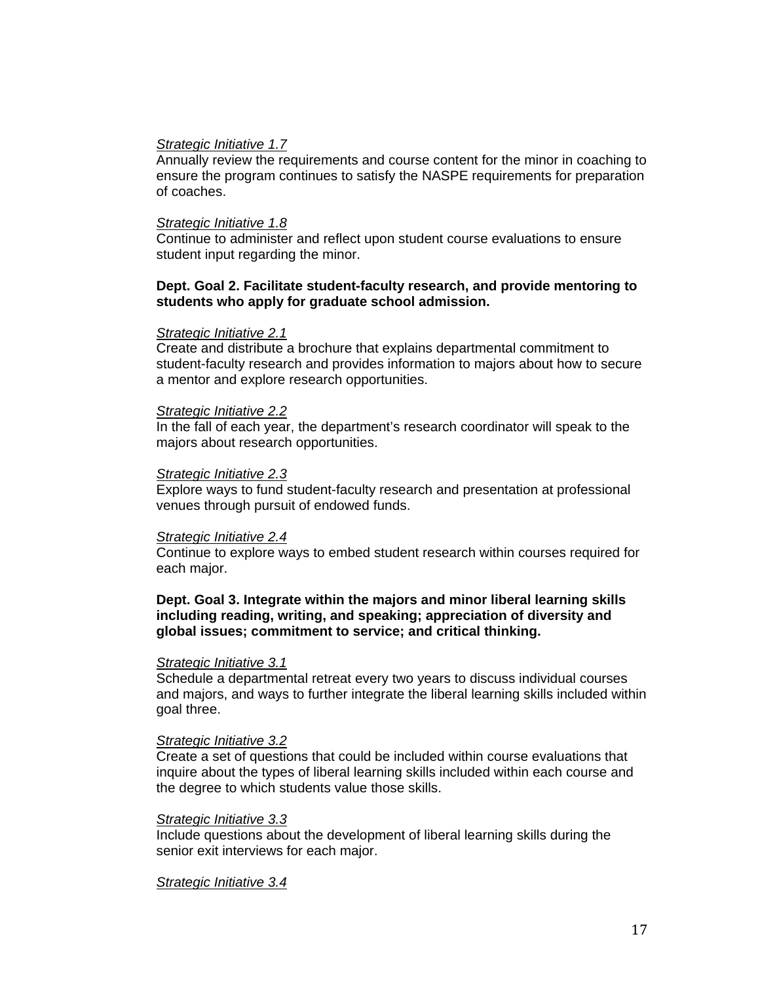#### *Strategic Initiative 1.7*

Annually review the requirements and course content for the minor in coaching to ensure the program continues to satisfy the NASPE requirements for preparation of coaches.

#### *Strategic Initiative 1.8*

Continue to administer and reflect upon student course evaluations to ensure student input regarding the minor.

#### **Dept. Goal 2. Facilitate student-faculty research, and provide mentoring to students who apply for graduate school admission.**

#### *Strategic Initiative 2.1*

Create and distribute a brochure that explains departmental commitment to student-faculty research and provides information to majors about how to secure a mentor and explore research opportunities.

#### *Strategic Initiative 2.2*

In the fall of each year, the department's research coordinator will speak to the majors about research opportunities.

#### *Strategic Initiative 2.3*

Explore ways to fund student-faculty research and presentation at professional venues through pursuit of endowed funds.

#### *Strategic Initiative 2.4*

Continue to explore ways to embed student research within courses required for each major.

#### **Dept. Goal 3. Integrate within the majors and minor liberal learning skills including reading, writing, and speaking; appreciation of diversity and global issues; commitment to service; and critical thinking.**

#### *Strategic Initiative 3.1*

Schedule a departmental retreat every two years to discuss individual courses and majors, and ways to further integrate the liberal learning skills included within goal three.

#### *Strategic Initiative 3.2*

Create a set of questions that could be included within course evaluations that inquire about the types of liberal learning skills included within each course and the degree to which students value those skills.

#### *Strategic Initiative 3.3*

Include questions about the development of liberal learning skills during the senior exit interviews for each major.

#### *Strategic Initiative 3.4*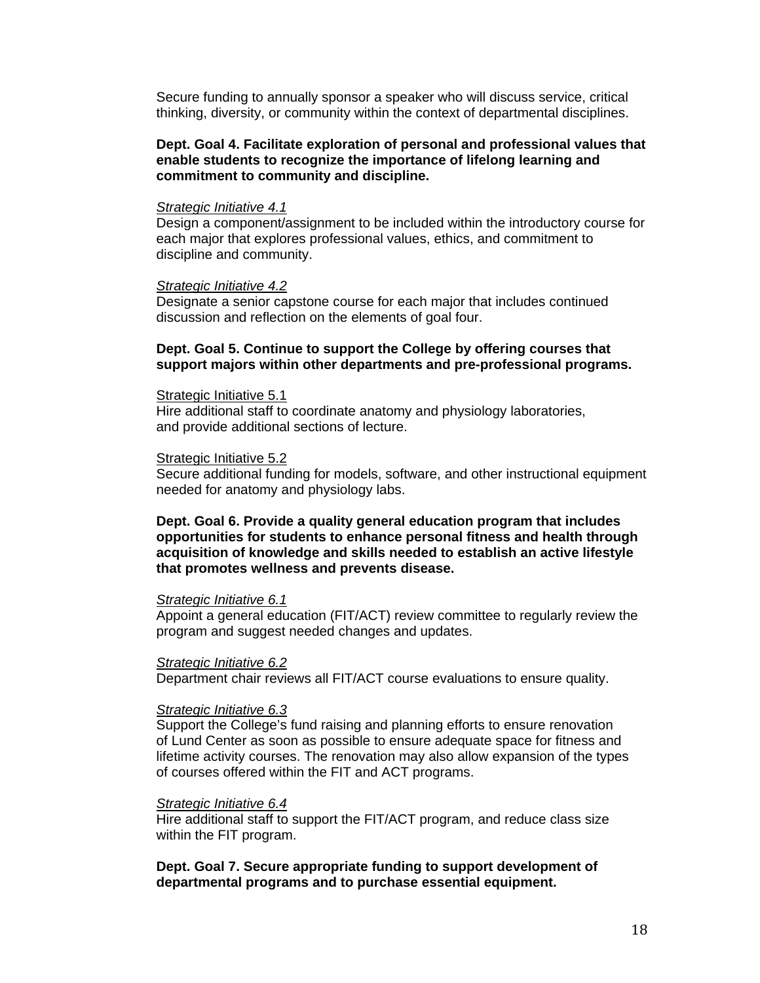Secure funding to annually sponsor a speaker who will discuss service, critical thinking, diversity, or community within the context of departmental disciplines.

#### **Dept. Goal 4. Facilitate exploration of personal and professional values that enable students to recognize the importance of lifelong learning and commitment to community and discipline.**

#### *Strategic Initiative 4.1*

Design a component/assignment to be included within the introductory course for each major that explores professional values, ethics, and commitment to discipline and community.

#### *Strategic Initiative 4.2*

Designate a senior capstone course for each major that includes continued discussion and reflection on the elements of goal four.

#### **Dept. Goal 5. Continue to support the College by offering courses that support majors within other departments and pre-professional programs.**

#### Strategic Initiative 5.1

Hire additional staff to coordinate anatomy and physiology laboratories, and provide additional sections of lecture.

#### Strategic Initiative 5.2

Secure additional funding for models, software, and other instructional equipment needed for anatomy and physiology labs.

#### **Dept. Goal 6. Provide a quality general education program that includes opportunities for students to enhance personal fitness and health through acquisition of knowledge and skills needed to establish an active lifestyle that promotes wellness and prevents disease.**

#### *Strategic Initiative 6.1*

 Appoint a general education (FIT/ACT) review committee to regularly review the program and suggest needed changes and updates.

#### *Strategic Initiative 6.2*

Department chair reviews all FIT/ACT course evaluations to ensure quality.

#### *Strategic Initiative 6.3*

 Support the College's fund raising and planning efforts to ensure renovation of Lund Center as soon as possible to ensure adequate space for fitness and lifetime activity courses. The renovation may also allow expansion of the types of courses offered within the FIT and ACT programs.

#### *Strategic Initiative 6.4*

 Hire additional staff to support the FIT/ACT program, and reduce class size within the FIT program.

**Dept. Goal 7. Secure appropriate funding to support development of departmental programs and to purchase essential equipment.**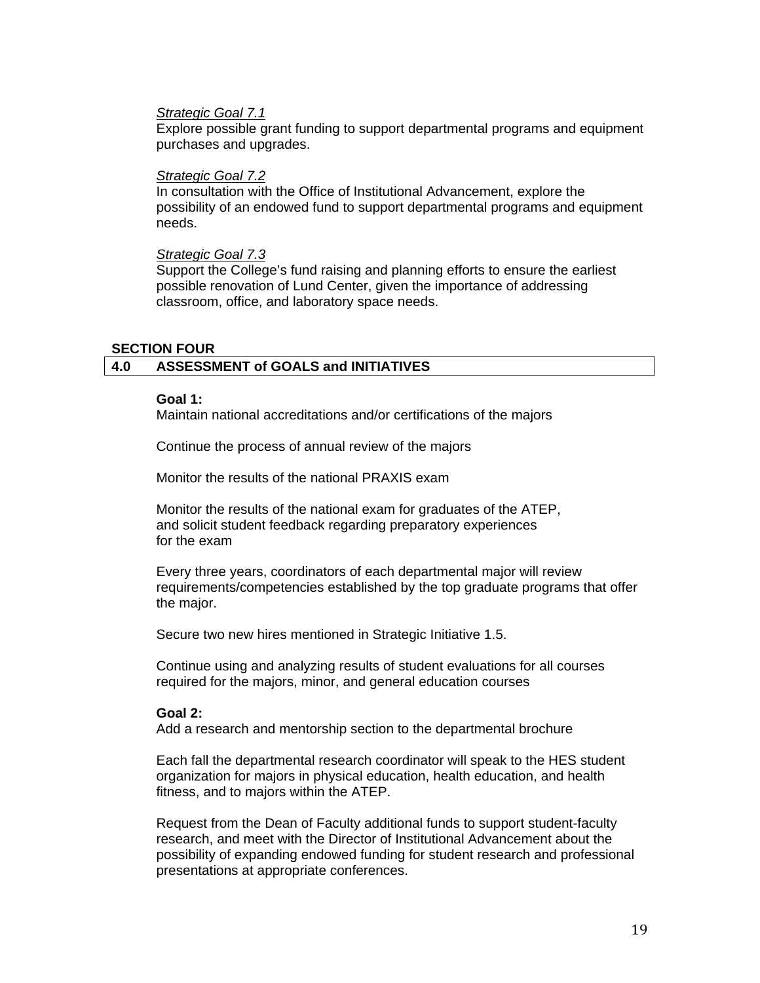#### *Strategic Goal 7.1*

Explore possible grant funding to support departmental programs and equipment purchases and upgrades.

#### *Strategic Goal 7.2*

In consultation with the Office of Institutional Advancement, explore the possibility of an endowed fund to support departmental programs and equipment needs.

#### *Strategic Goal 7.3*

Support the College's fund raising and planning efforts to ensure the earliest possible renovation of Lund Center, given the importance of addressing classroom, office, and laboratory space needs.

#### **SECTION FOUR**

#### **4.0 ASSESSMENT of GOALS and INITIATIVES**

#### **Goal 1:**

Maintain national accreditations and/or certifications of the majors

Continue the process of annual review of the majors

Monitor the results of the national PRAXIS exam

Monitor the results of the national exam for graduates of the ATEP, and solicit student feedback regarding preparatory experiences for the exam

Every three years, coordinators of each departmental major will review requirements/competencies established by the top graduate programs that offer the major.

Secure two new hires mentioned in Strategic Initiative 1.5.

Continue using and analyzing results of student evaluations for all courses required for the majors, minor, and general education courses

#### **Goal 2:**

Add a research and mentorship section to the departmental brochure

Each fall the departmental research coordinator will speak to the HES student organization for majors in physical education, health education, and health fitness, and to majors within the ATEP.

Request from the Dean of Faculty additional funds to support student-faculty research, and meet with the Director of Institutional Advancement about the possibility of expanding endowed funding for student research and professional presentations at appropriate conferences.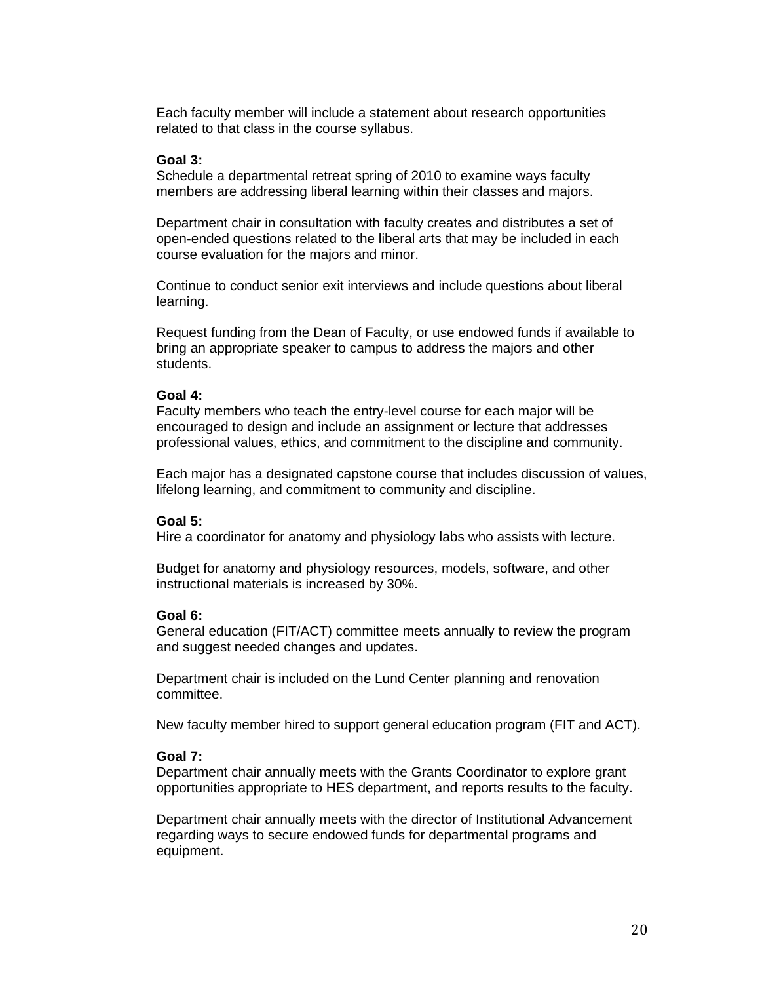Each faculty member will include a statement about research opportunities related to that class in the course syllabus.

#### **Goal 3:**

Schedule a departmental retreat spring of 2010 to examine ways faculty members are addressing liberal learning within their classes and majors.

Department chair in consultation with faculty creates and distributes a set of open-ended questions related to the liberal arts that may be included in each course evaluation for the majors and minor.

Continue to conduct senior exit interviews and include questions about liberal learning.

Request funding from the Dean of Faculty, or use endowed funds if available to bring an appropriate speaker to campus to address the majors and other students.

#### **Goal 4:**

Faculty members who teach the entry-level course for each major will be encouraged to design and include an assignment or lecture that addresses professional values, ethics, and commitment to the discipline and community.

Each major has a designated capstone course that includes discussion of values, lifelong learning, and commitment to community and discipline.

#### **Goal 5:**

Hire a coordinator for anatomy and physiology labs who assists with lecture.

Budget for anatomy and physiology resources, models, software, and other instructional materials is increased by 30%.

#### **Goal 6:**

General education (FIT/ACT) committee meets annually to review the program and suggest needed changes and updates.

Department chair is included on the Lund Center planning and renovation committee.

New faculty member hired to support general education program (FIT and ACT).

#### **Goal 7:**

Department chair annually meets with the Grants Coordinator to explore grant opportunities appropriate to HES department, and reports results to the faculty.

Department chair annually meets with the director of Institutional Advancement regarding ways to secure endowed funds for departmental programs and equipment.